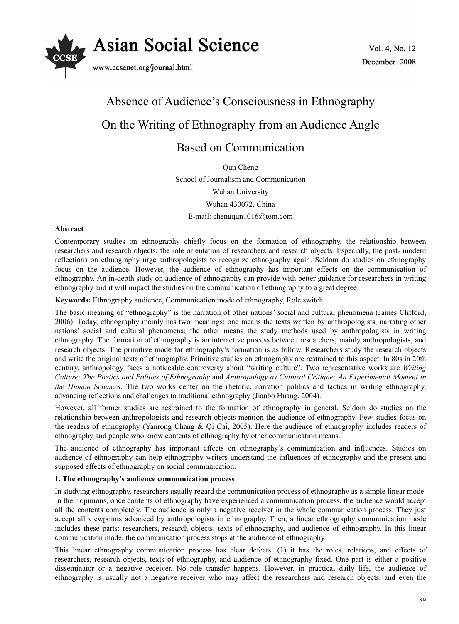

# Absence of Audience's Consciousness in Ethnography On the Writing of Ethnography from an Audience Angle

# Based on Communication

Qun Cheng

School of Journalism and Communication

Wuhan University

Wuhan 430072, China

E-mail: chengqun1016@tom.com

### **Abstract**

Contemporary studies on ethnography chiefly focus on the formation of ethnography, the relationship between researchers and research objects, the role orientation of researchers and research objects. Especially, the post- modern reflections on ethnography urge anthropologists to recognize ethnography again. Seldom do studies on ethnography focus on the audience. However, the audience of ethnography has important effects on the communication of ethnography. An in-depth study on audience of ethnography can provide with better guidance for researchers in writing ethnography and it will impact the studies on the communication of ethnography to a great degree.

**Keywords:** Ethnography audience, Communication mode of ethnography, Role switch

The basic meaning of "ethnography" is the narration of other nations' social and cultural phenomena (James Clifford, 2006). Today, ethnography mainly has two meanings: one means the texts written by anthropologists, narrating other nations' social and cultural phenomena; the other means the study methods used by anthropologists in writing ethnography. The formation of ethnography is an interactive process between researchers, mainly anthropologists, and research objects. The primitive mode for ethnography's formation is as follow. Researchers study the research objects and write the original texts of ethnography. Primitive studies on ethnography are restrained to this aspect. In 80s in 20th century, anthropology faces a noticeable controversy about "writing culture". Two representative works are *Writing Culture: The Poetics and Politics of Ethnography* and *Anthropology as Cultural Critique: An Experimental Moment in the Human Sciences*. The two works center on the rhetoric, narration politics and tactics in writing ethnography, advancing reflections and challenges to traditional ethnography (Jianbo Huang, 2004).

However, all former studies are restrained to the formation of ethnography in general. Seldom do studies on the relationship between anthropologists and research objects mention the audience of ethnography. Few studies focus on the readers of ethnography (Yanrong Chang & Qi Cai, 2005). Here the audience of ethnography includes readers of ethnography and people who know contents of ethnography by other communication means.

The audience of ethnography has important effects on ethnography's communication and influences. Studies on audience of ethnography can help ethnography writers understand the influences of ethnography and the present and supposed effects of ethnography on social communication.

## **1. The ethnography's audience communication process**

In studying ethnography, researchers usually regard the communication process of ethnography as a simple linear mode. In their opinions, once contents of ethnography have experienced a communication process, the audience would accept all the contents completely. The audience is only a negative receiver in the whole communication process. They just accept all viewpoints advanced by anthropologists in ethnography. Then, a linear ethnography communication mode includes these parts: researchers, research objects, texts of ethnography, and audience of ethnography. In this linear communication mode, the communication process stops at the audience of ethnography.

This linear ethnography communication process has clear defects: (1) it has the roles, relations, and effects of researchers, research objects, texts of ethnography, and audience of ethnography fixed. One part is either a positive disseminator or a negative receiver. No role transfer happens. However, in practical daily life, the audience of ethnography is usually not a negative receiver who may affect the researchers and research objects, and even the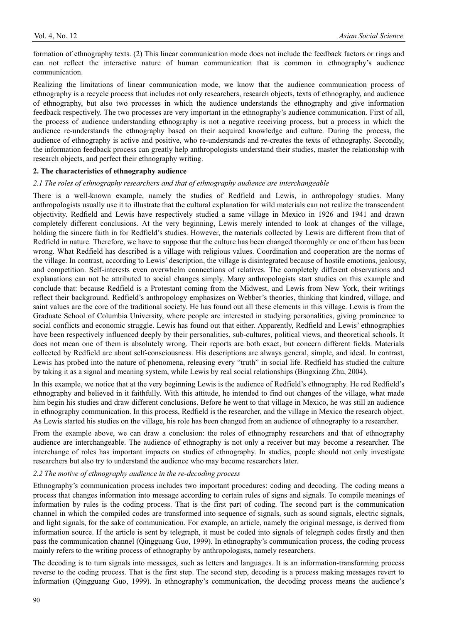formation of ethnography texts. (2) This linear communication mode does not include the feedback factors or rings and can not reflect the interactive nature of human communication that is common in ethnography's audience communication.

Realizing the limitations of linear communication mode, we know that the audience communication process of ethnography is a recycle process that includes not only researchers, research objects, texts of ethnography, and audience of ethnography, but also two processes in which the audience understands the ethnography and give information feedback respectively. The two processes are very important in the ethnography's audience communication. First of all, the process of audience understanding ethnography is not a negative receiving process, but a process in which the audience re-understands the ethnography based on their acquired knowledge and culture. During the process, the audience of ethnography is active and positive, who re-understands and re-creates the texts of ethnography. Secondly, the information feedback process can greatly help anthropologists understand their studies, master the relationship with research objects, and perfect their ethnography writing.

#### **2. The characteristics of ethnography audience**

#### *2.1 The roles of ethnography researchers and that of ethnography audience are interchangeable*

There is a well-known example, namely the studies of Redfield and Lewis, in anthropology studies. Many anthropologists usually use it to illustrate that the cultural explanation for wild materials can not realize the transcendent objectivity. Redfield and Lewis have respectively studied a same village in Mexico in 1926 and 1941 and drawn completely different conclusions. At the very beginning, Lewis merely intended to look at changes of the village, holding the sincere faith in for Redfield's studies. However, the materials collected by Lewis are different from that of Redfield in nature. Therefore, we have to suppose that the culture has been changed thoroughly or one of them has been wrong. What Redfield has described is a village with religious values. Coordination and cooperation are the norms of the village. In contrast, according to Lewis' description, the village is disintegrated because of hostile emotions, jealousy, and competition. Self-interests even overwhelm connections of relatives. The completely different observations and explanations can not be attributed to social changes simply. Many anthropologists start studies on this example and conclude that: because Redfield is a Protestant coming from the Midwest, and Lewis from New York, their writings reflect their background. Redfield's anthropology emphasizes on Webber's theories, thinking that kindred, village, and saint values are the core of the traditional society. He has found out all these elements in this village. Lewis is from the Graduate School of Columbia University, where people are interested in studying personalities, giving prominence to social conflicts and economic struggle. Lewis has found out that either. Apparently, Redfield and Lewis' ethnographies have been respectively influenced deeply by their personalities, sub-cultures, political views, and theoretical schools. It does not mean one of them is absolutely wrong. Their reports are both exact, but concern different fields. Materials collected by Redfield are about self-consciousness. His descriptions are always general, simple, and ideal. In contrast, Lewis has probed into the nature of phenomena, releasing every "truth" in social life. Redfield has studied the culture by taking it as a signal and meaning system, while Lewis by real social relationships (Bingxiang Zhu, 2004).

In this example, we notice that at the very beginning Lewis is the audience of Redfield's ethnography. He red Redfield's ethnography and believed in it faithfully. With this attitude, he intended to find out changes of the village, what made him begin his studies and draw different conclusions. Before he went to that village in Mexico, he was still an audience in ethnography communication. In this process, Redfield is the researcher, and the village in Mexico the research object. As Lewis started his studies on the village, his role has been changed from an audience of ethnography to a researcher.

From the example above, we can draw a conclusion: the roles of ethnography researchers and that of ethnography audience are interchangeable. The audience of ethnography is not only a receiver but may become a researcher. The interchange of roles has important impacts on studies of ethnography. In studies, people should not only investigate researchers but also try to understand the audience who may become researchers later.

#### *2.2 The motive of ethnography audience in the re-decoding process*

Ethnography's communication process includes two important procedures: coding and decoding. The coding means a process that changes information into message according to certain rules of signs and signals. To compile meanings of information by rules is the coding process. That is the first part of coding. The second part is the communication channel in which the compiled codes are transformed into sequence of signals, such as sound signals, electric signals, and light signals, for the sake of communication. For example, an article, namely the original message, is derived from information source. If the article is sent by telegraph, it must be coded into signals of telegraph codes firstly and then pass the communication channel (Qingguang Guo, 1999). In ethnography's communication process, the coding process mainly refers to the writing process of ethnography by anthropologists, namely researchers.

The decoding is to turn signals into messages, such as letters and languages. It is an information-transforming process reverse to the coding process. That is the first step. The second step, decoding is a process making messages revert to information (Qingguang Guo, 1999). In ethnography's communication, the decoding process means the audience's